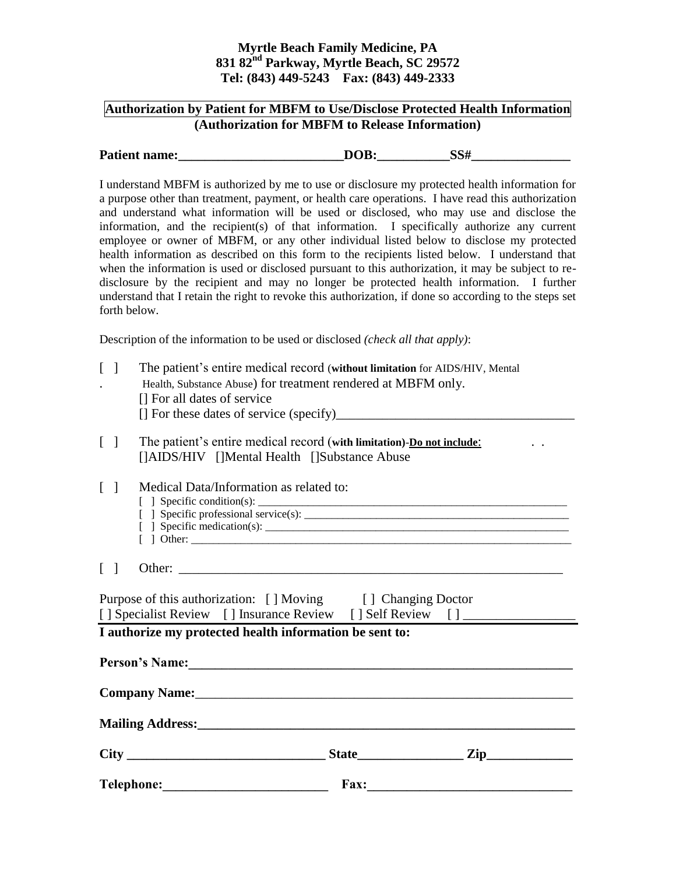## **Myrtle Beach Family Medicine, PA 831 82nd Parkway, Myrtle Beach, SC 29572 Tel: (843) 449-5243 Fax: (843) 449-2333**

## **Authorization by Patient for MBFM to Use/Disclose Protected Health Information (Authorization for MBFM to Release Information)**

| <b>Patient name:</b> | DOB. |  |
|----------------------|------|--|
|                      |      |  |

I understand MBFM is authorized by me to use or disclosure my protected health information for a purpose other than treatment, payment, or health care operations. I have read this authorization and understand what information will be used or disclosed, who may use and disclose the information, and the recipient(s) of that information. I specifically authorize any current employee or owner of MBFM, or any other individual listed below to disclose my protected health information as described on this form to the recipients listed below. I understand that when the information is used or disclosed pursuant to this authorization, it may be subject to redisclosure by the recipient and may no longer be protected health information. I further understand that I retain the right to revoke this authorization, if done so according to the steps set forth below.

Description of the information to be used or disclosed *(check all that apply)*:

| $\Gamma$<br>-1                  | The patient's entire medical record (without limitation for AIDS/HIV, Mental<br>Health, Substance Abuse) for treatment rendered at MBFM only.<br>[] For all dates of service                                                   |  |  |  |
|---------------------------------|--------------------------------------------------------------------------------------------------------------------------------------------------------------------------------------------------------------------------------|--|--|--|
|                                 |                                                                                                                                                                                                                                |  |  |  |
| $\begin{bmatrix} \end{bmatrix}$ | The patient's entire medical record (with limitation)-Do not include:<br>[]AIDS/HIV []Mental Health []Substance Abuse                                                                                                          |  |  |  |
| $\lceil \; \rceil$              | Medical Data/Information as related to:<br>$\lceil$ and $\rceil$ other:                                                                                                                                                        |  |  |  |
| $\begin{bmatrix} \end{bmatrix}$ |                                                                                                                                                                                                                                |  |  |  |
|                                 | Purpose of this authorization: [] Moving [] Changing Doctor<br>[] Specialist Review [] Insurance Review [] Self Review [] _____________________<br>I authorize my protected health information be sent to:                     |  |  |  |
|                                 | Person's Name:<br><u>Example</u> 2021                                                                                                                                                                                          |  |  |  |
|                                 | Company Name: Name: Name: Name: Name: Name: Name: Name: Name: Name: Name: Name: Name: Name: Name: Name: Name: Name: Name: Name: Name: Name: Name: Name: Name: Name: Name: Name: Name: Name: Name: Name: Name: Name: Name: Name |  |  |  |
|                                 |                                                                                                                                                                                                                                |  |  |  |
|                                 |                                                                                                                                                                                                                                |  |  |  |
|                                 | <b>Telephone:</b><br>Fax:                                                                                                                                                                                                      |  |  |  |